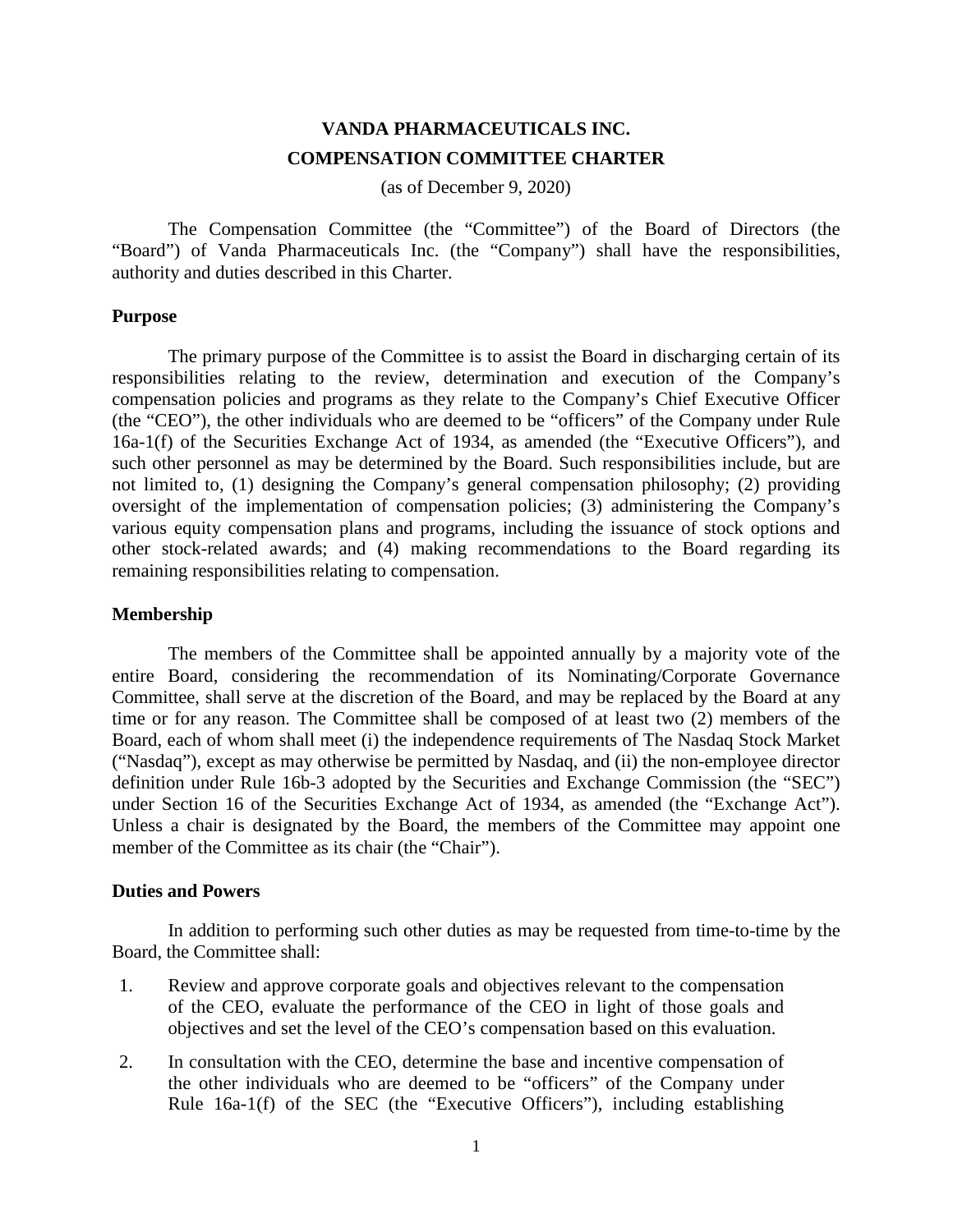# **VANDA PHARMACEUTICALS INC. COMPENSATION COMMITTEE CHARTER**

(as of December 9, 2020)

The Compensation Committee (the "Committee") of the Board of Directors (the "Board") of Vanda Pharmaceuticals Inc. (the "Company") shall have the responsibilities, authority and duties described in this Charter.

# **Purpose**

The primary purpose of the Committee is to assist the Board in discharging certain of its responsibilities relating to the review, determination and execution of the Company's compensation policies and programs as they relate to the Company's Chief Executive Officer (the "CEO"), the other individuals who are deemed to be "officers" of the Company under Rule 16a-1(f) of the Securities Exchange Act of 1934, as amended (the "Executive Officers"), and such other personnel as may be determined by the Board. Such responsibilities include, but are not limited to, (1) designing the Company's general compensation philosophy; (2) providing oversight of the implementation of compensation policies; (3) administering the Company's various equity compensation plans and programs, including the issuance of stock options and other stock-related awards; and (4) making recommendations to the Board regarding its remaining responsibilities relating to compensation.

# **Membership**

The members of the Committee shall be appointed annually by a majority vote of the entire Board, considering the recommendation of its Nominating/Corporate Governance Committee, shall serve at the discretion of the Board, and may be replaced by the Board at any time or for any reason. The Committee shall be composed of at least two (2) members of the Board, each of whom shall meet (i) the independence requirements of The Nasdaq Stock Market ("Nasdaq"), except as may otherwise be permitted by Nasdaq, and (ii) the non-employee director definition under Rule 16b-3 adopted by the Securities and Exchange Commission (the "SEC") under Section 16 of the Securities Exchange Act of 1934, as amended (the "Exchange Act"). Unless a chair is designated by the Board, the members of the Committee may appoint one member of the Committee as its chair (the "Chair").

#### **Duties and Powers**

In addition to performing such other duties as may be requested from time-to-time by the Board, the Committee shall:

- 1. Review and approve corporate goals and objectives relevant to the compensation of the CEO, evaluate the performance of the CEO in light of those goals and objectives and set the level of the CEO's compensation based on this evaluation.
- 2. In consultation with the CEO, determine the base and incentive compensation of the other individuals who are deemed to be "officers" of the Company under Rule 16a-1(f) of the SEC (the "Executive Officers"), including establishing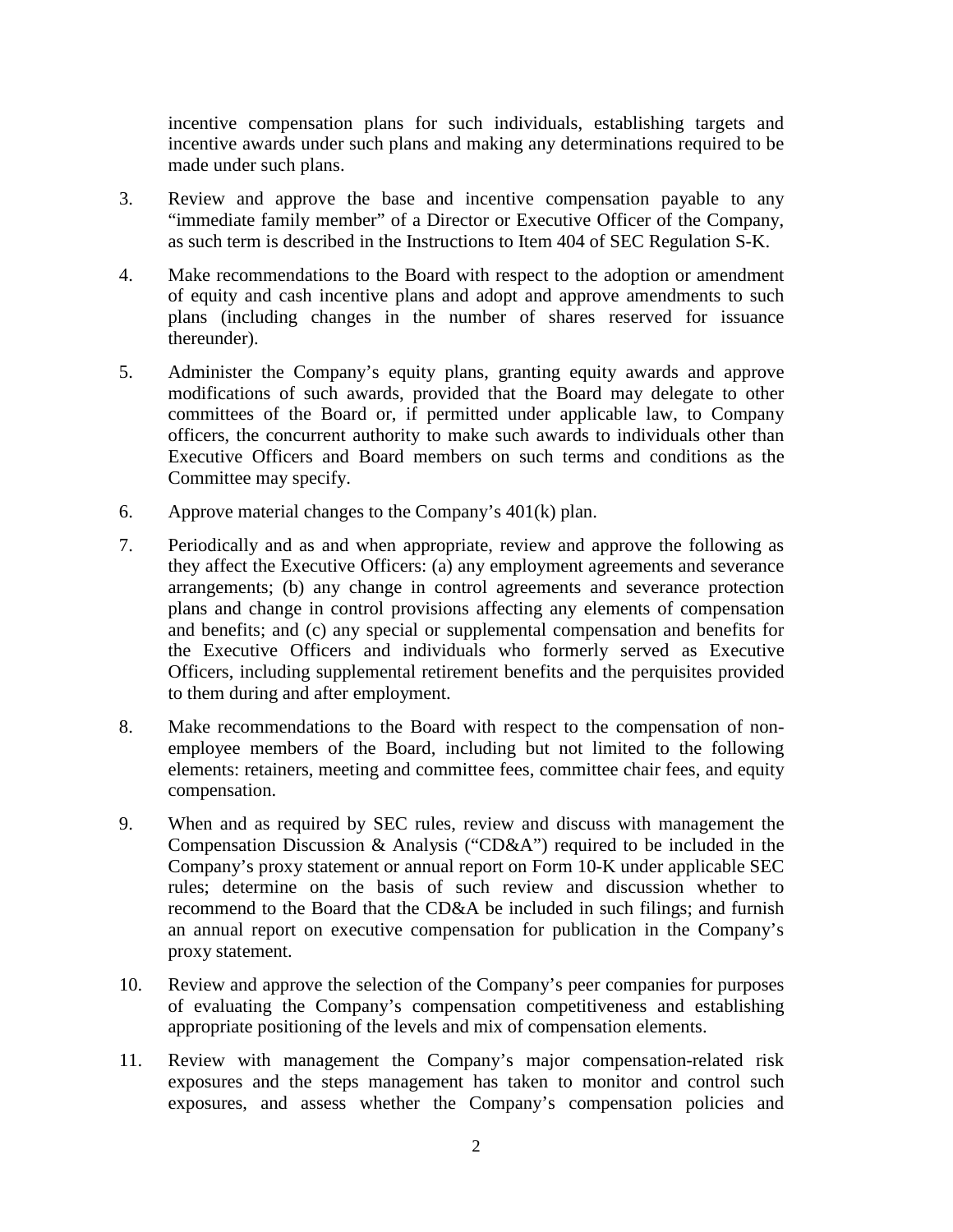incentive compensation plans for such individuals, establishing targets and incentive awards under such plans and making any determinations required to be made under such plans.

- 3. Review and approve the base and incentive compensation payable to any "immediate family member" of a Director or Executive Officer of the Company, as such term is described in the Instructions to Item 404 of SEC Regulation S-K.
- 4. Make recommendations to the Board with respect to the adoption or amendment of equity and cash incentive plans and adopt and approve amendments to such plans (including changes in the number of shares reserved for issuance thereunder).
- 5. Administer the Company's equity plans, granting equity awards and approve modifications of such awards, provided that the Board may delegate to other committees of the Board or, if permitted under applicable law, to Company officers, the concurrent authority to make such awards to individuals other than Executive Officers and Board members on such terms and conditions as the Committee may specify.
- 6. Approve material changes to the Company's 401(k) plan.
- 7. Periodically and as and when appropriate, review and approve the following as they affect the Executive Officers: (a) any employment agreements and severance arrangements; (b) any change in control agreements and severance protection plans and change in control provisions affecting any elements of compensation and benefits; and (c) any special or supplemental compensation and benefits for the Executive Officers and individuals who formerly served as Executive Officers, including supplemental retirement benefits and the perquisites provided to them during and after employment.
- 8. Make recommendations to the Board with respect to the compensation of nonemployee members of the Board, including but not limited to the following elements: retainers, meeting and committee fees, committee chair fees, and equity compensation.
- 9. When and as required by SEC rules, review and discuss with management the Compensation Discussion & Analysis ("CD&A") required to be included in the Company's proxy statement or annual report on Form 10-K under applicable SEC rules; determine on the basis of such review and discussion whether to recommend to the Board that the CD&A be included in such filings; and furnish an annual report on executive compensation for publication in the Company's proxy statement.
- 10. Review and approve the selection of the Company's peer companies for purposes of evaluating the Company's compensation competitiveness and establishing appropriate positioning of the levels and mix of compensation elements.
- 11. Review with management the Company's major compensation-related risk exposures and the steps management has taken to monitor and control such exposures, and assess whether the Company's compensation policies and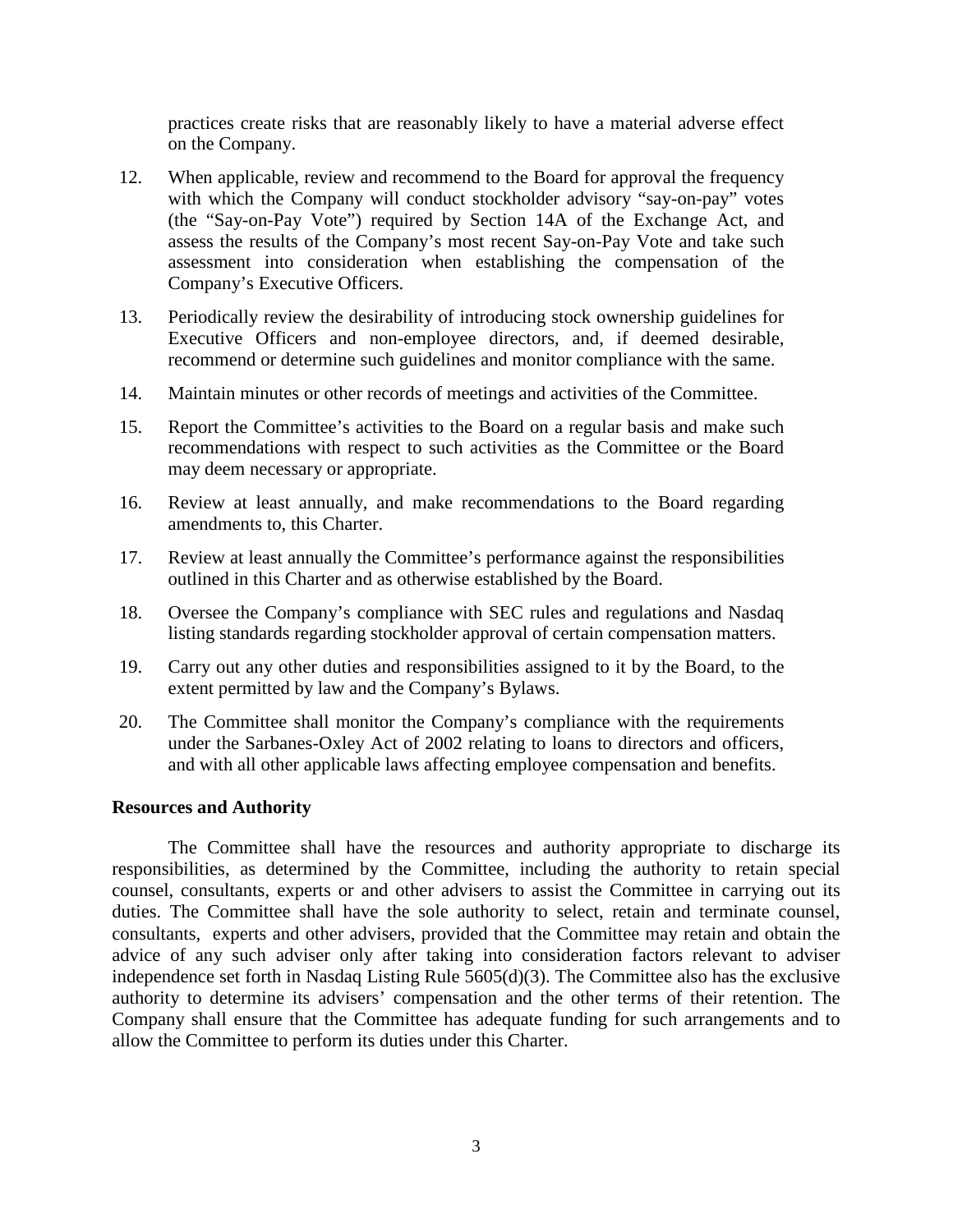practices create risks that are reasonably likely to have a material adverse effect on the Company.

- 12. When applicable, review and recommend to the Board for approval the frequency with which the Company will conduct stockholder advisory "say-on-pay" votes (the "Say-on-Pay Vote") required by Section 14A of the Exchange Act, and assess the results of the Company's most recent Say-on-Pay Vote and take such assessment into consideration when establishing the compensation of the Company's Executive Officers.
- 13. Periodically review the desirability of introducing stock ownership guidelines for Executive Officers and non-employee directors, and, if deemed desirable, recommend or determine such guidelines and monitor compliance with the same.
- 14. Maintain minutes or other records of meetings and activities of the Committee.
- 15. Report the Committee's activities to the Board on a regular basis and make such recommendations with respect to such activities as the Committee or the Board may deem necessary or appropriate.
- 16. Review at least annually, and make recommendations to the Board regarding amendments to, this Charter.
- 17. Review at least annually the Committee's performance against the responsibilities outlined in this Charter and as otherwise established by the Board.
- 18. Oversee the Company's compliance with SEC rules and regulations and Nasdaq listing standards regarding stockholder approval of certain compensation matters.
- 19. Carry out any other duties and responsibilities assigned to it by the Board, to the extent permitted by law and the Company's Bylaws.
- 20. The Committee shall monitor the Company's compliance with the requirements under the Sarbanes-Oxley Act of 2002 relating to loans to directors and officers, and with all other applicable laws affecting employee compensation and benefits.

### **Resources and Authority**

The Committee shall have the resources and authority appropriate to discharge its responsibilities, as determined by the Committee, including the authority to retain special counsel, consultants, experts or and other advisers to assist the Committee in carrying out its duties. The Committee shall have the sole authority to select, retain and terminate counsel, consultants, experts and other advisers, provided that the Committee may retain and obtain the advice of any such adviser only after taking into consideration factors relevant to adviser independence set forth in Nasdaq Listing Rule 5605(d)(3). The Committee also has the exclusive authority to determine its advisers' compensation and the other terms of their retention. The Company shall ensure that the Committee has adequate funding for such arrangements and to allow the Committee to perform its duties under this Charter.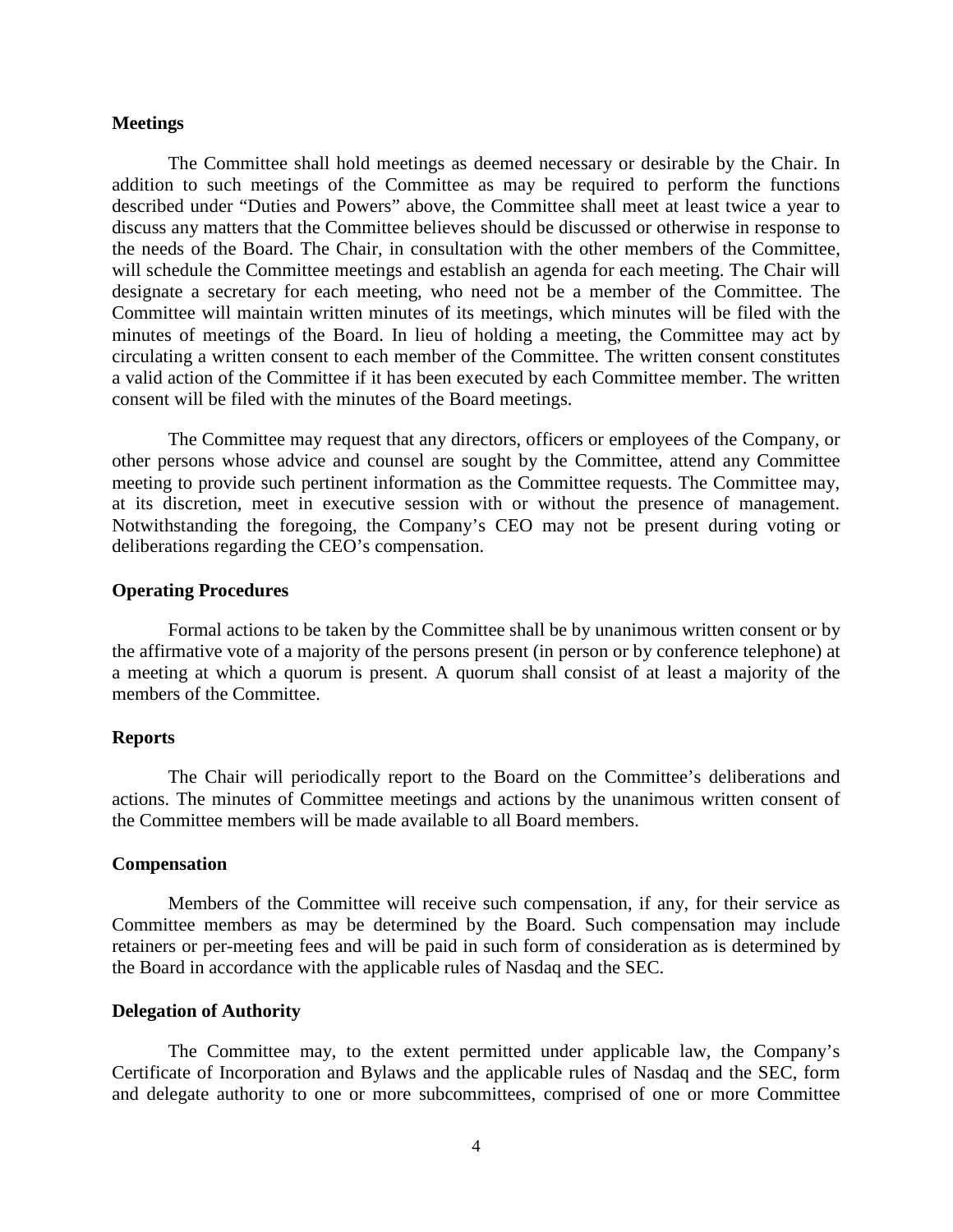#### **Meetings**

The Committee shall hold meetings as deemed necessary or desirable by the Chair. In addition to such meetings of the Committee as may be required to perform the functions described under "Duties and Powers" above, the Committee shall meet at least twice a year to discuss any matters that the Committee believes should be discussed or otherwise in response to the needs of the Board. The Chair, in consultation with the other members of the Committee, will schedule the Committee meetings and establish an agenda for each meeting. The Chair will designate a secretary for each meeting, who need not be a member of the Committee. The Committee will maintain written minutes of its meetings, which minutes will be filed with the minutes of meetings of the Board. In lieu of holding a meeting, the Committee may act by circulating a written consent to each member of the Committee. The written consent constitutes a valid action of the Committee if it has been executed by each Committee member. The written consent will be filed with the minutes of the Board meetings.

The Committee may request that any directors, officers or employees of the Company, or other persons whose advice and counsel are sought by the Committee, attend any Committee meeting to provide such pertinent information as the Committee requests. The Committee may, at its discretion, meet in executive session with or without the presence of management. Notwithstanding the foregoing, the Company's CEO may not be present during voting or deliberations regarding the CEO's compensation.

## **Operating Procedures**

Formal actions to be taken by the Committee shall be by unanimous written consent or by the affirmative vote of a majority of the persons present (in person or by conference telephone) at a meeting at which a quorum is present. A quorum shall consist of at least a majority of the members of the Committee.

#### **Reports**

The Chair will periodically report to the Board on the Committee's deliberations and actions. The minutes of Committee meetings and actions by the unanimous written consent of the Committee members will be made available to all Board members.

# **Compensation**

Members of the Committee will receive such compensation, if any, for their service as Committee members as may be determined by the Board. Such compensation may include retainers or per-meeting fees and will be paid in such form of consideration as is determined by the Board in accordance with the applicable rules of Nasdaq and the SEC.

## **Delegation of Authority**

The Committee may, to the extent permitted under applicable law, the Company's Certificate of Incorporation and Bylaws and the applicable rules of Nasdaq and the SEC, form and delegate authority to one or more subcommittees, comprised of one or more Committee